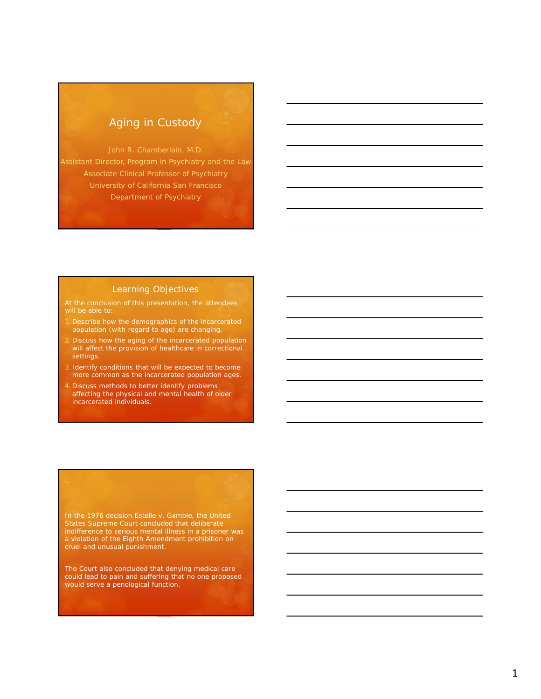## Aging in Custody

Assistant Director, Program in Psychiatry and the Law Associate Clinical Professor of Psychiatry University of California San Francisco Department of Psychiatry

### Learning Objectives

At the conclusion of this presentation, the attendees will be able to:

- 1.Describe how the demographics of the incarcerated population (with regard to age) are changing.
- 2.Discuss how the aging of the incarcerated population will affect the provision of healthcare in correctional settings.
- 3. Identify conditions that will be expected to become more common as the incarcerated population ages.
- 4.Discuss methods to better identify problems affecting the physical and mental health of older incarcerated individuals.

States Supreme Court concluded that deliberate indifference to serious mental illness in a prisoner was a violation of the Eighth Amendment prohibition on cruel and unusual punishment.

The Court also concluded that denying medical care could lead to pain and suffering that no one proposed would serve a penological function.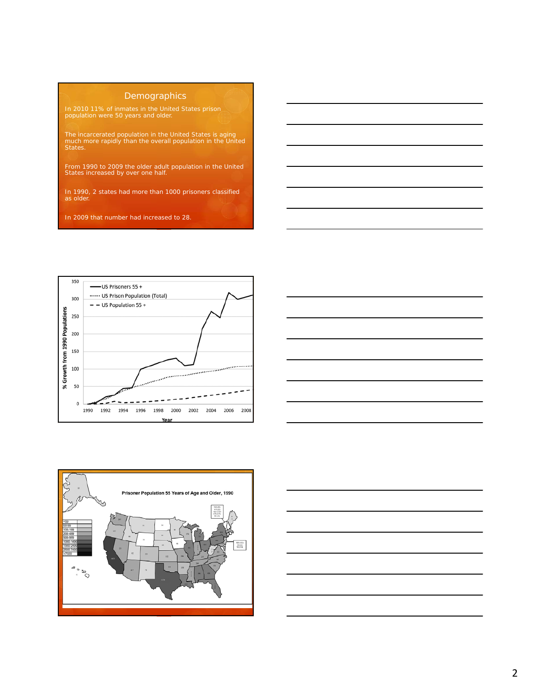### **Demographics**

In 2010 11% of inmates in the United States prison population were 50 years and older.

The incarcerated population in the United States is aging much more rapidly than the overall population in the United States.

From 1990 to 2009 the older adult population in the United States increased by over one half.

In 1990, 2 states had more than 1000 prisoners classified as older.

In 2009 that number had increased to 28.







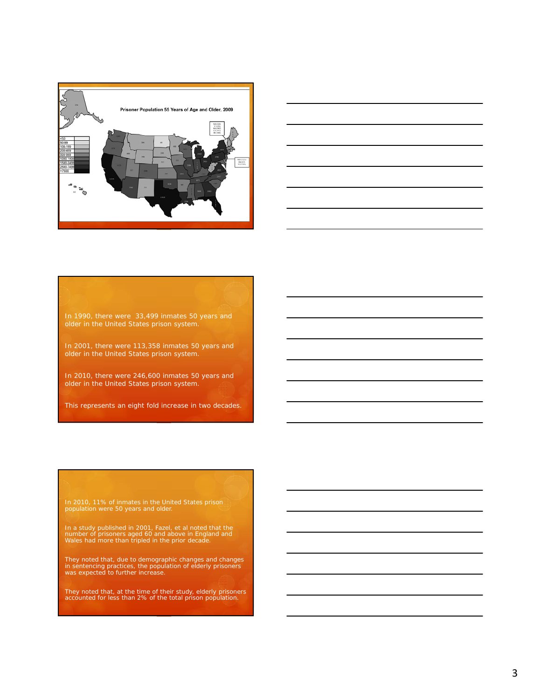



In 1990, there were 33,499 inmates 50 years and older in the United States prison system.

In 2001, there were 113,358 inmates 50 years and older in the United States prison system.

In 2010, there were 246,600 inmates 50 years and older in the United States prison system.

This represents an eight fold increase in two decades.

In 2010, 11% of inmates in the United States prison population were 50 years and older.

In a study published in 2001, Fazel, et al noted that the number of prisoners aged 60 and above in England and Wales had more than tripled in the prior decade.

They noted that, due to demographic changes and changes in sentencing practices, the population of elderly prisoners was expected to further increase.

They noted that, at the time of their study, elderly prisoners accounted for less than 2% of the total prison population.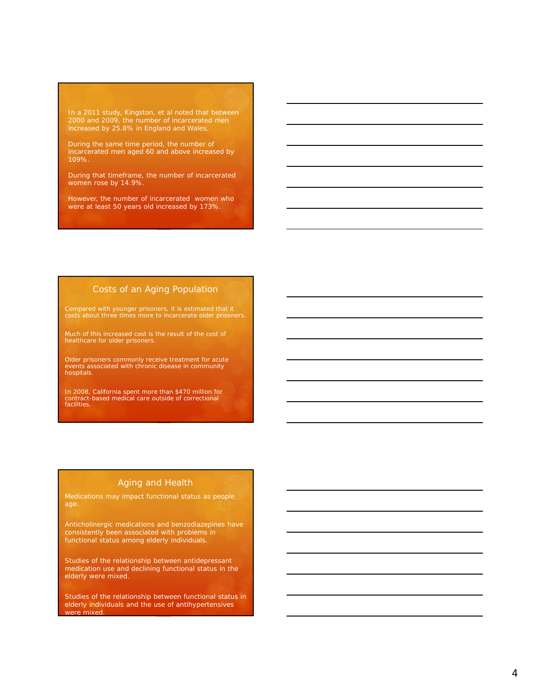In a 2011 study, Kingston, et al noted that between 2000 and 2009, the number of incarcerated men increased by 25.8% in England and Wales.

During the same time period, the number of incarcerated men aged 60 and above increased by 109%.

During that timeframe, the number of incarcerated women rose by 14.9%.

However, the number of incarcerated women who were at least 50 years old increased by 173%.

### Costs of an Aging Population

Compared with younger prisoners, it is estimated that it costs about three times more to incarcerate older prisoners.

Much of this increased cost is the result of the cost of healthcare for older prisoners.

Older prisoners commonly receive treatment for acute events associated with chronic disease in community hospitals.

In 2008, California spent more than \$470 million for contract-based medical care outside of correctional facilities.

### Aging and Health

Medications may impact functional status as people

Anticholinergic medications and benzodiazepines have consistently been associated with problems in functional status among elderly individuals.

Studies of the relationship between antidepressant medication use and declining functional status in the elderly were mixed.

Studies of the relationship between functional status in elderly individuals and the use of antihypertensives were mixed.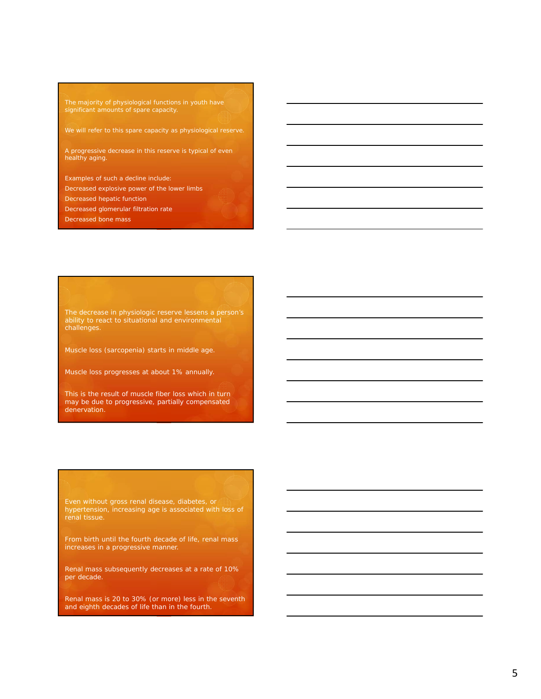The majority of physiological functions in youth have significant amounts of spare capacity.

We will refer to this spare capacity as physiological reserve.

A progressive decrease in this reserve is typical of even healthy aging.

Examples of such a decline include: Decreased explosive power of the lower limbs

Decreased hepatic function

Decreased glomerular filtration rate

Decreased bone mass

The decrease in physiologic reserve lessens a person's ability to react to situational and environmental challenges.

Muscle loss (sarcopenia) starts in middle age.

Muscle loss progresses at about 1% annually.

This is the result of muscle fiber loss which in turn may be due to progressive, partially compensated denervation.

hypertension, increasing age is associated with loss of renal tissue.

From birth until the fourth decade of life, renal mass increases in a progressive manner.

Renal mass subsequently decreases at a rate of 10% per decade.

Renal mass is 20 to 30% (or more) less in the seventh and eighth decades of life than in the fourth.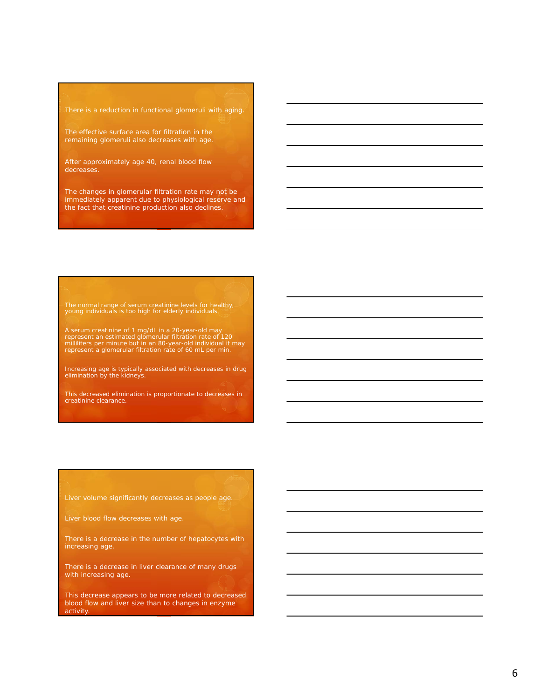There is a reduction in functional glomeruli with aging.

remaining glomeruli also decreases with age.

After approximately age 40, renal blood flow decreases.

The changes in glomerular filtration rate may not be immediately apparent due to physiological reserve and the fact that creatinine production also declines.

The normal range of serum creatinine levels for healthy, young individuals is too high for elderly individuals.

A serum creatinine of 1 mg/dL in a 20-year-old may<br>represent an estimated glomerular filtration rate of 120<br>milliliters per minute but in an 80-year-old individual it may<br>represent a glomerular filtration rate of 60 mL per

Increasing age is typically associated with decreases in drug elimination by the kidneys.

This decreased elimination is proportionate to decreases in creatinine clearance.

Liver volume significantly decreases as people age.

Liver blood flow decreases with age.

There is a decrease in the number of hepatocytes with increasing age.

There is a decrease in liver clearance of many drugs with increasing age.

This decrease appears to be more related to decreased blood flow and liver size than to changes in enzyme activity.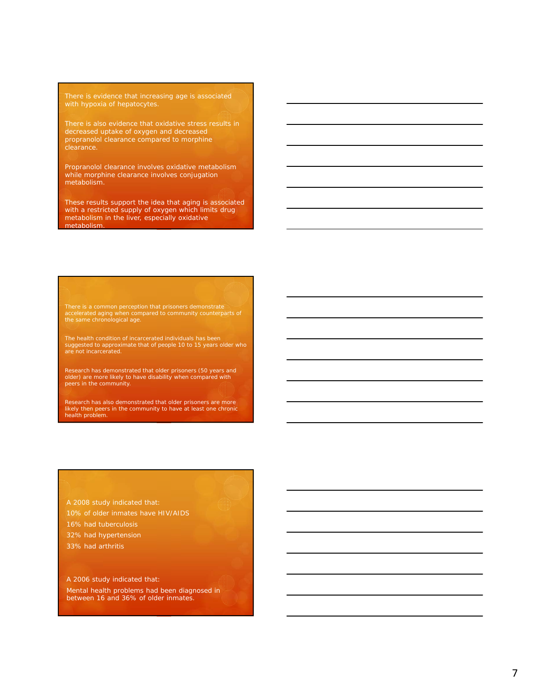There is evidence that increasing age is associated with hypoxia of hepatocytes.

There is also evidence that oxidative stress results in decreased uptake of oxygen and decreased propranolol clearance compared to morphine clearance.

Propranolol clearance involves oxidative metabolism while morphine clearance involves conjugation metabolism.

These results support the idea that aging is associated with a restricted supply of oxygen which limits drug metabolism in the liver, especially oxidative metabolism.

There is a common perception that prisoners demonstrate accelerated aging when compared to community counterparts of the same chronological age.

The health condition of incarcerated individuals has been suggested to approximate that of people 10 to 15 years older who are not incarcerated.

Research has demonstrated that older prisoners (50 years and older) are more likely to have disability when compared with peers in the community.

Research has also demonstrated that older prisoners are more likely then peers in the community to have at least one chronic health problem.

A 2008 study indicated that: 16% had tuberculosis 32% had hypertension

A 2006 study indicated that: Mental health problems had been diagnosed in between 16 and 36% of older inmates.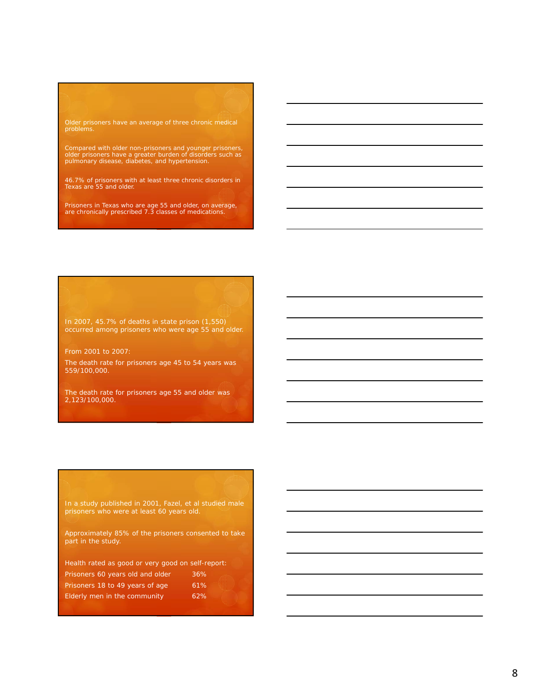## Older prisoners have an average of three chronic medical problems.

Compared with older non-prisoners and younger prisoners, older prisoners have a greater burden of disorders such as pulmonary disease, diabetes, and hypertension.

46.7% of prisoners with at least three chronic disorders in Texas are 55 and older.

Prisoners in Texas who are age 55 and older, on average, are chronically prescribed 7.3 classes of medications.

In 2007, 45.7% of deaths in state prison (1,550) occurred among prisoners who were age 55 and older.

From 2001 to 2007:

The death rate for prisoners age 45 to 54 years was 559/100,000.

The death rate for prisoners age 55 and older was 2,123/100,000.

In a study published in 2001, Fazel, et al studied male prisoners who were at least 60 years old.

Approximately 85% of the prisoners consented to take part in the study.

| Health rated as good or very good on self-report: |                                                                                          |
|---------------------------------------------------|------------------------------------------------------------------------------------------|
| Prisoners 60 years old and older                  | 36%<br><b>ASSIS</b><br><b>STATISTICS</b><br><b><i>Provincial</i></b><br>                 |
| Prisoners 18 to 49 years of age                   | .<br>.<br>.<br>,,,,,,,,,,,,<br>61%<br>.<br>.<br><br>.<br>.<br>.<br><b>Carl Carl</b><br>. |
| Elderly men in the community                      | 62%<br>                                                                                  |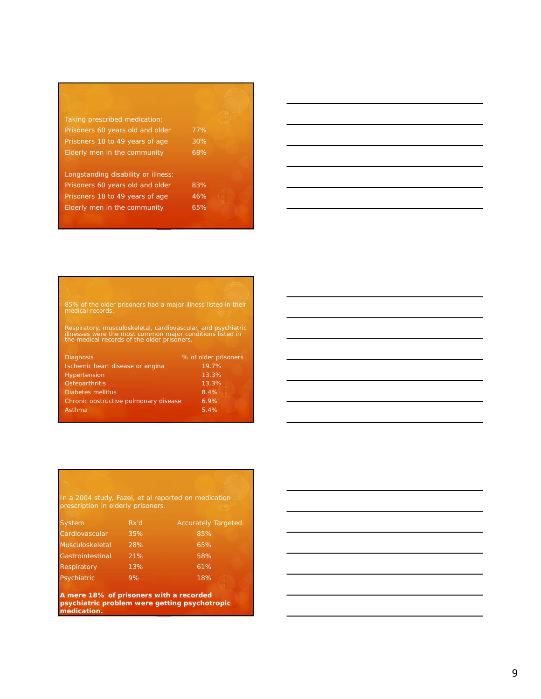Taking prescribed medication: Prisoners 60 years old and older 77% Prisoners 18 to 49 years of age 30% Elderly men in the community 68%

Longstanding disability or illness: Prisoners 60 years old and older 83% Prisoners 18 to 49 years of age 46% Elderly men in the community 65%



## 85% of the older prisoners had a major illness listed in their medical records.

Respiratory, musculoskeletal, cardiovascular, and psychiatric illnesses were the most common major conditions listed in the medical records of the older prisoners.

| <b>Diagnosis</b>                      | % of older prisoners |
|---------------------------------------|----------------------|
| Ischemic heart disease or angina      | 19.7%                |
| <b>Hypertension</b>                   | 13.3%                |
| Osteoarthritis                        | 13.3%                |
| <b>Diabetes mellitus</b>              | 8.4%                 |
| Chronic obstructive pulmonary disease | 6.9%                 |
| Asthma                                | 5.4%                 |

## In a 2004 study, Fazel, et al reported on medication prescription in elderly prisoners. System **Rx'd** Accurately Targeted

|     | $100$ and $101$ $101$ $100$ |
|-----|-----------------------------|
| 35% | 85%                         |
| 28% | 65%                         |
| 21% | 58%                         |
| 13% | 61%                         |
| 9%  | 18%                         |
|     |                             |

**A mere 18% of prisoners with a recorded psychiatric problem were getting psychotropic medication.**

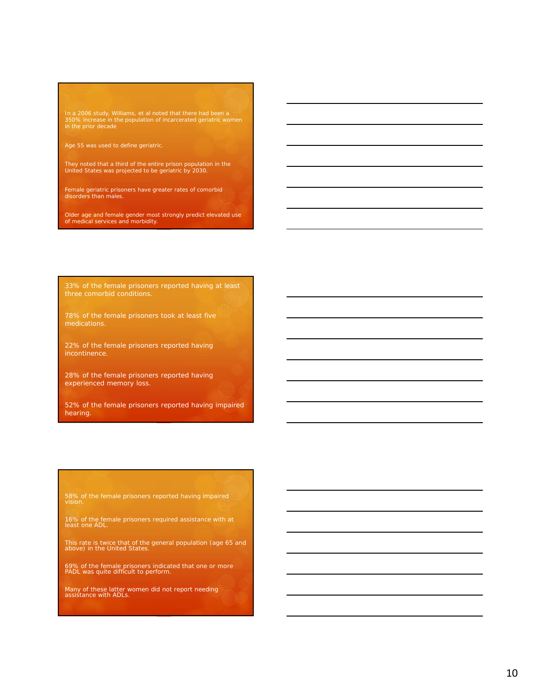In a 2006 study, Williams, et al noted that there had been a 350% increase in the population of incarcerated geriatric women in the prior decade

They noted that a third of the entire prison population in the United States was projected to be geriatric by 2030.

Female geriatric prisoners have greater rates of comorbid disorders than males.

Older age and female gender most strongly predict elevated use of medical services and morbidity.

three comorbid conditions.

22% of the female prisoners reported having incontinence.

28% of the female prisoners reported having experienced memory loss.

52% of the female prisoners reported having impaired hearing.

58% of the female prisoners reported having impaired vision.

16% of the female prisoners required assistance with at least one ADL.

This rate is twice that of the general population (age 65 and above) in the United States.

69% of the female prisoners indicated that one or more PADL was quite difficult to perform.

Many of these latter women did not report needing assistance with ADLs.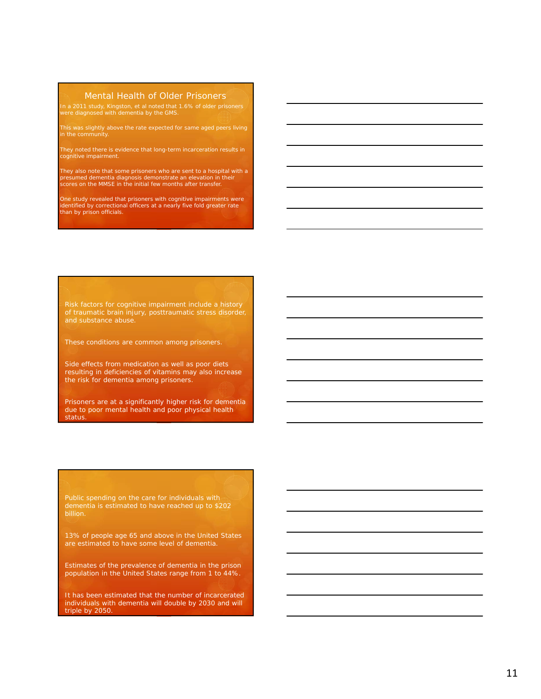### Mental Health of Older Prisoners

In a 2011 study, Kingston, et al noted that 1.6% of older prisoners were diagnosed with dementia by the GMS.

This was slightly above the rate expected for same aged peers living in the community.

They noted there is evidence that long-term incarceration results in cognitive impairment.

They also note that some prisoners who are sent to a hospital with a presumed dementia diagnosis demonstrate an elevation in their scores on the MMSE in the initial few months after transfer.

One study revealed that prisoners with cognitive impairments were identified by correctional officers at a nearly five fold greater rate than by prison officials.

Risk factors for cognitive impairment include a history of traumatic brain injury, posttraumatic stress disorder, and substance abuse.

These conditions are common among prisoners.

Side effects from medication as well as poor diets resulting in deficiencies of vitamins may also increase the risk for dementia among prisoners.

Prisoners are at a significantly higher risk for dementia due to poor mental health and poor physical health status.

Public spending on the care for individuals with billion.

13% of people age 65 and above in the United States are estimated to have some level of dementia.

Estimates of the prevalence of dementia in the prison population in the United States range from 1 to 44%.

It has been estimated that the number of incarcerated individuals with dementia will double by 2030 and will triple by 2050.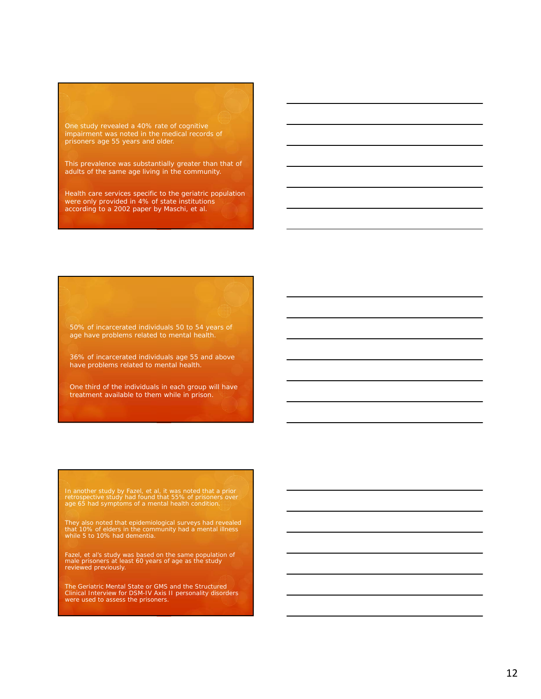One study revealed a 40% rate of cognitive impairment was noted in the medical records of prisoners age 55 years and older.

This prevalence was substantially greater than that of adults of the same age living in the community.

Health care services specific to the geriatric population were only provided in 4% of state institutions according to a 2002 paper by Maschi, et al.

50% of incarcerated individuals 50 to 54 years of age have problems related to mental health.

36% of incarcerated individuals age 55 and above have problems related to mental health.

One third of the individuals in each group will have treatment available to them while in prison.

In another study by Fazel, et al, it was noted that a prior retrospective study had found that 55% of prisoners over age 65 had symptoms of a mental health condition.

They also noted that epidemiological surveys had revealed that 10% of elders in the community had a mental illness while 5 to 10% had dementia.

Fazel, et al's study was based on the same population of male prisoners at least 60 years of age as the study reviewed previously.

The Geriatric Mental State or GMS and the Structured Clinical Interview for DSM-IV Axis II personality disorders were used to assess the prisoners.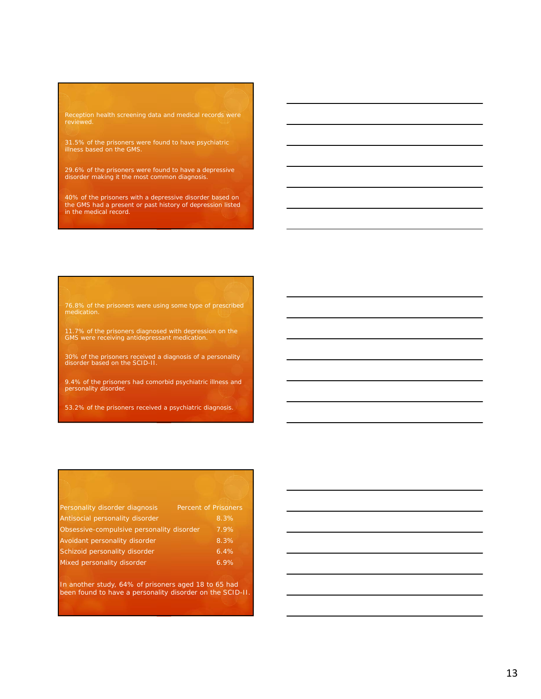31.5% of the prisoners were found to have psychiatric illness based on the GMS.

29.6% of the prisoners were found to have a depressive disorder making it the most common diagnosis.

40% of the prisoners with a depressive disorder based on the GMS had a present or past history of depression listed in the medical record.

76.8% of the prisoners were using some type of prescribed

11.7% of the prisoners diagnosed with depression on the GMS were receiving antidepressant medication.

30% of the prisoners received a diagnosis of a personality disorder based on the SCID-II.

9.4% of the prisoners had comorbid psychiatric illness and personality disorder.

53.2% of the prisoners received a psychiatric diagnosis.

| Personality disorder diagnosis            | <b>Percent of Prisoners</b> |
|-------------------------------------------|-----------------------------|
| Antisocial personality disorder           | 8.3%                        |
| Obsessive-compulsive personality disorder | 7.9%                        |
| Avoidant personality disorder             | 8.3%                        |
| Schizoid personality disorder             | 6.4%                        |
| Mixed personality disorder                | 6.9%                        |
|                                           |                             |

In another study, 64% of prisoners aged 18 to 65 had been found to have a personality disorder on the SCID-II.

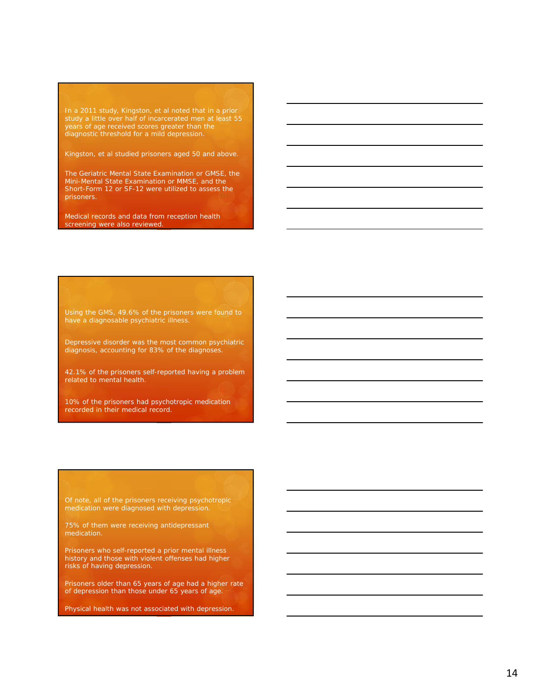In a 2011 study, Kingston, et al noted that in a prior years of age received scores greater than the diagnostic threshold for a mild depression.

Kingston, et al studied prisoners aged 50 and above.

The Geriatric Mental State Examination or GMSE, the Mini-Mental State Examination or MMSE, and the Short-Form 12 or SF-12 were utilized to assess the prisoners.

Medical records and data from reception health screening were also reviewed.

have a diagnosable psychiatric illness.

Depressive disorder was the most common psychiatric diagnosis, accounting for 83% of the diagnoses.

42.1% of the prisoners self-reported having a problem related to mental health.

10% of the prisoners had psychotropic medication recorded in their medical record.

Of note, all of the prisoners receiving psychotropic medication were diagnosed with depression.

medication.

Prisoners who self-reported a prior mental illness history and those with violent offenses had higher risks of having depression.

Prisoners older than 65 years of age had a higher rate of depression than those under 65 years of age.

Physical health was not associated with depression.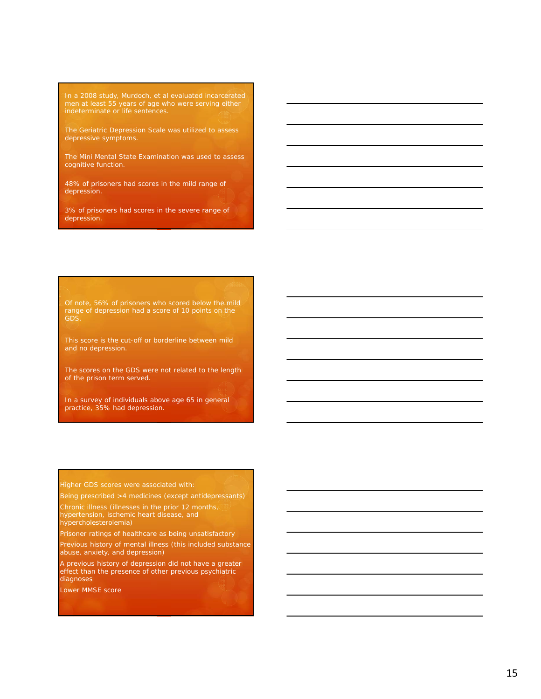men at least 55 years of age who were serving either indeterminate or life sentences.

The Geriatric Depression Scale was utilized to assess depressive symptoms.

The Mini Mental State Examination was used to assess cognitive function.

48% of prisoners had scores in the mild range of depression.

3% of prisoners had scores in the severe range of depression.

range of depression had a score of 10 points on the GDS.

and no depression.

The scores on the GDS were not related to the length of the prison term served.

In a survey of individuals above age 65 in general practice, 35% had depression.

Higher GDS scores were associated with:

Being prescribed >4 medicines (except antidepressants)

Chronic illness (illnesses in the prior 12 months, hypertension, ischemic heart disease, and hypercholesterolemia)

Prisoner ratings of healthcare as being unsatisfactory

Previous history of mental illness (this included substance abuse, anxiety, and depression)

A previous history of depression did not have a greater effect than the presence of other previous psychiatric diagnoses

Lower MMSE score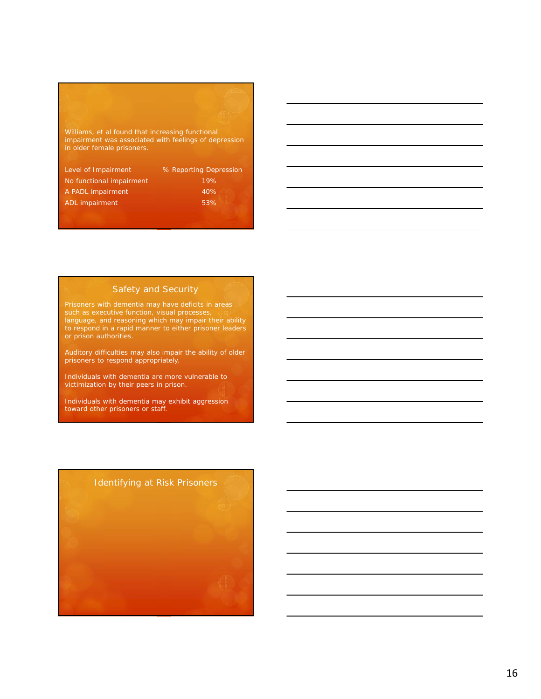# Williams, et al found that increasing functional impairment was associated with feelings of depression in older female prisoners. Level of Impairment **6.1 %** Reporting Depression

| <b>LEVEL OF ITHDAILITIELIT</b> | YO KENDI III IYI DENI ESSIDIT                                          |
|--------------------------------|------------------------------------------------------------------------|
| No functional impairment       | 19%                                                                    |
| A PADL impairment              | <b>STATISTICS</b><br>40%<br>.<br>.<br><b>Service Contract Contract</b> |
| ADL impairment                 | .<br>53%<br>,,,,,,,<br><b>TELEVISION</b>                               |
|                                |                                                                        |

### Safety and Security

such as executive function, visual processes, language, and reasoning which may impair their ability to respond in a rapid manner to either prisoner leaders

Auditory difficulties may also impair the ability of older prisoners to respond appropriately.

Individuals with dementia are more vulnerable to victimization by their peers in prison.

Individuals with dementia may exhibit aggression toward other prisoners or staff.

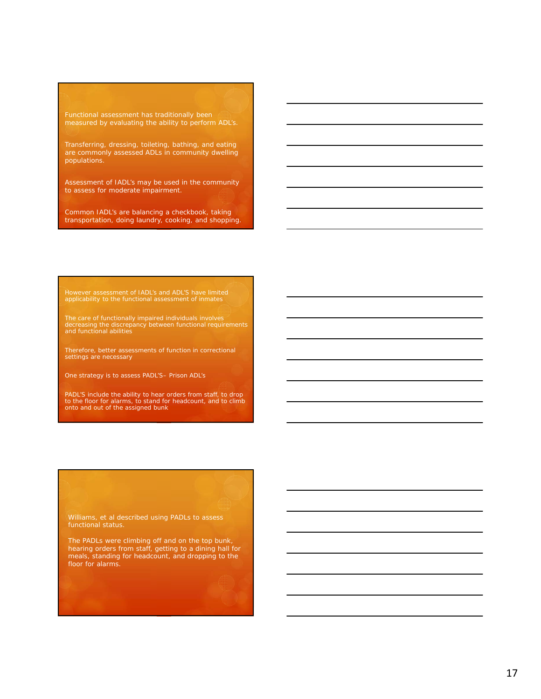measured by evaluating the ability to perform ADL's.

Transferring, dressing, toileting, bathing, and eating are commonly assessed ADLs in community dwelling populations.

Assessment of IADL's may be used in the community to assess for moderate impairment.

Common IADL's are balancing a checkbook, taking transportation, doing laundry, cooking, and shopping.

However assessment of IADL's and ADL'S have limited applicability to the functional assessment of inmates

The care of functionally impaired individuals involves decreasing the discrepancy between functional requirements and functional abilities

Therefore, better assessments of function in correctional settings are necessary

One strategy is to assess PADL'S– Prison ADL's

PADL'S include the ability to hear orders from staff, to drop to the floor for alarms, to stand for headcount, and to climb onto and out of the assigned bunk

Williams, et al described using PADLs to assess functional status.

The PADLs were climbing off and on the top bunk, hearing orders from staff, getting to a dining hall for meals, standing for headcount, and dropping to the floor for alarms.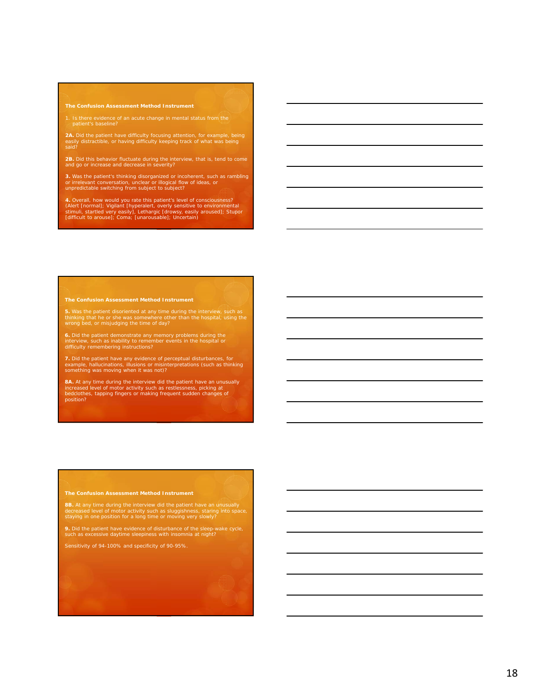### **The Confusion Assessment Method Instrument**

1. Is there evidence of an acute change in mental status from the patient's baseline?

**2A**. Did the patient have difficulty focusing attention, for example, being<br>easily distractible, or having difficulty keeping track of what was being<br>said?

**2B.** Did this behavior fluctuate during the interview, that is, tend to come and go or increase and decrease in severity?

**3.** Was the patient's thinking disorganized or incoherent, such as rambling<br>or irrelevant conversation, unclear or illogical flow of ideas, or<br>unpredictable switching from subject to subject?

4. Overall, how would you rate this patient's level of consciousness?<br>(Alert [normal]; Vigilant [hyperalert, overly sensitive to environmental<br>stimuli, startled very easily], Lethargic [drowsy, easily aroused]; Stupor<br>[dif

### **The Confusion Assessment Method Instrument**

**5.** Was the patient disoriented at any time during the interview, such as<br>thinking that he or she was somewhere other than the hospital, using the<br>wrong bed, or misjudging the time of day?

**6.** Did the patient demonstrate any memory problems during the interview, such as incomparable the difficult or<br>interview, such as inability to remember events in the hospital or<br>difficulty remembering instructions?

**7.** Did the patient have any evidence of perceptual disturbances, for<br>example, hallucinations, illusions or misinterpretations (such as thinking<br>something was moving when it was not)?

**8A.** At any time during the interview did the patient have an unusually increased level of motor activity such as restlessness, picking at bedclothes, tapping fingers or making frequent sudden changes of position?

### **The Confusion Assessment Method Instrument**

**8B.** At any time during the interview did the patient have an unusually<br>decreased level of motor activity such as sluggishness, staring into space,<br>staying in one position for a long time or moving very slowly?

**9.** Did the patient have evidence of disturbance of the sleep-wake cycle, such as excessive daytime sleepiness with insomnia at night?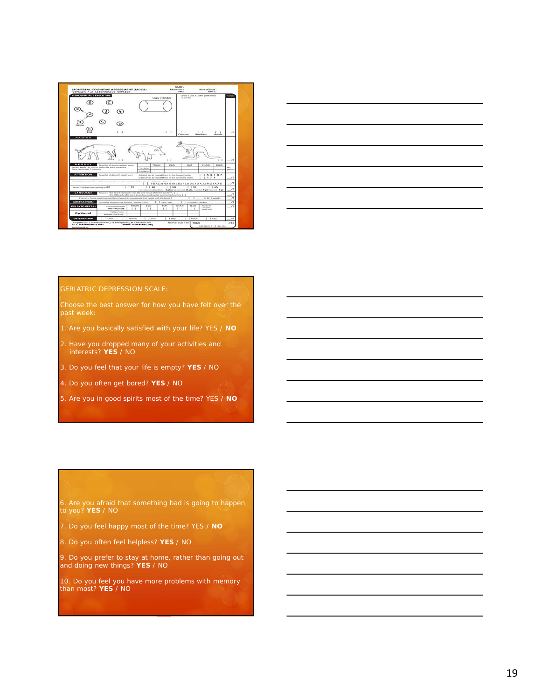



### GERIATRIC DEPRESSION SCALE:

Choose the best answer for how you have felt over the past week:

- 1. Are you basically satisfied with your life? YES / **NO**
- 2. Have you dropped many of your activities and interests? **YES** / NO
- 3. Do you feel that your life is empty? **YES** / NO
- 4. Do you often get bored? **YES** / NO
- 5. Are you in good spirits most of the time? YES / **NO**

6. Are you afraid that something bad is going to happen to you? **YES** / NO

- 7. Do you feel happy most of the time? YES / **NO**
- 8. Do you often feel helpless? **YES** / NO

9. Do you prefer to stay at home, rather than going out and doing new things? **YES** / NO

10. Do you feel you have more problems with memory than most? **YES** / NO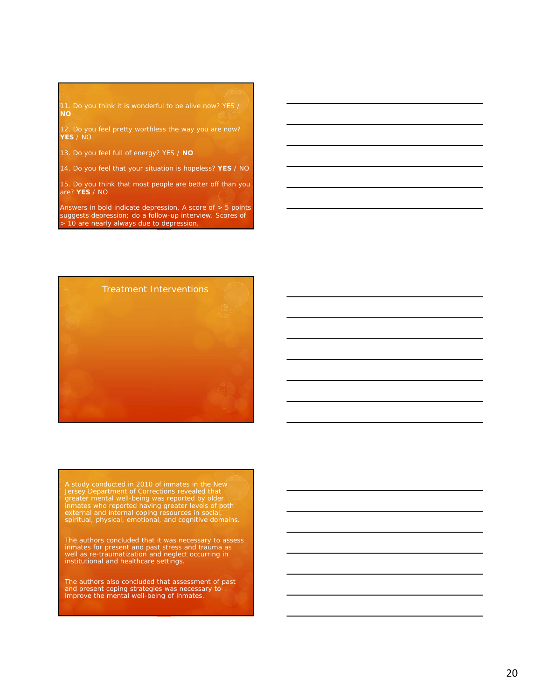**NO**

**YES** / NO

13. Do you feel full of energy? YES / **NO**

14. Do you feel that your situation is hopeless? **YES** / NO

15. Do you think that most people are better off than you are? **YES** / NO

Answers in bold indicate depression. A score of > 5 points suggests depression; do a follow-up interview. Scores of > 10 are nearly always due to depression.



A study conducted in 2010 of inmates in the New<br>Jersey Department of Corrections revealed that<br>greater mental well-being was reported by older<br>inmates who reported having greater levels of both<br>external and internal coping

The authors concluded that it was necessary to assess inmates for present and past stress and trauma as well as re-traumatization and neglect occurring in institutional and healthcare settings.

The authors also concluded that assessment of past and present coping strategies was necessary to improve the mental well-being of inmates.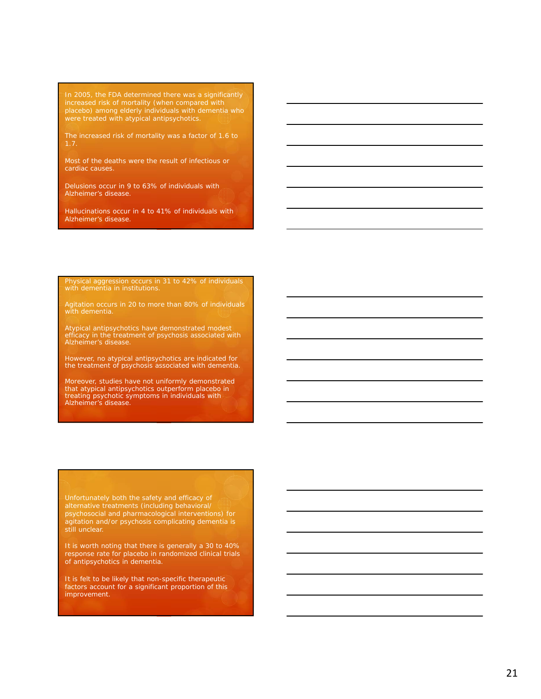increased risk of mortality (when compared with placebo) among elderly individuals with dementia who were treated with atypical antipsychotics.

The increased risk of mortality was a factor of 1.6 to

Most of the deaths were the result of infectious or cardiac causes.

Delusions occur in 9 to 63% of individuals with Alzheimer's disease.

Hallucinations occur in 4 to 41% of individuals with Alzheimer's disease.

Physical aggression occurs in 31 to 42% of individuals with dementia in institutions.

Agitation occurs in 20 to more than 80% of individuals

Atypical antipsychotics have demonstrated modest efficacy in the treatment of psychosis associated with Alzheimer's disease.

However, no atypical antipsychotics are indicated for the treatment of psychosis associated with dementia.

Moreover, studies have not uniformly demonstrated that atypical antipsychotics outperform placebo in treating psychotic symptoms in individuals with Alzheimer's disease.

alternative treatments (including behavioral/ psychosocial and pharmacological interventions) for agitation and/or psychosis complicating dementia is still unclear.

It is worth noting that there is generally a 30 to 40% response rate for placebo in randomized clinical trials of antipsychotics in dementia.

It is felt to be likely that non-specific therapeutic factors account for a significant proportion of this improvement.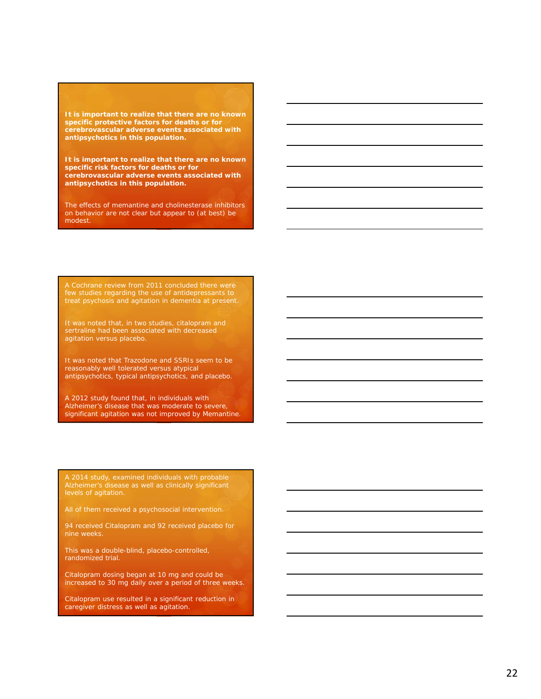**It is important to realize that there are no known specific protective factors for deaths or for cerebrovascular adverse events associated with antipsychotics in this population.**

**It is important to realize that there are no known specific risk factors for deaths or for cerebrovascular adverse events associated with antipsychotics in this population.**

The effects of memantine and cholinesterase inhibitors on behavior are not clear but appear to (at best) be modest.

A Cochrane review from 2011 concluded there were few studies regarding the use of antidepressants to treat psychosis and agitation in dementia at present.

It was noted that, in two studies, citalopram and sertraline had been associated with decreased agitation versus placebo.

It was noted that Trazodone and SSRIs seem to be reasonably well tolerated versus atypical antipsychotics, typical antipsychotics, and placebo.

A 2012 study found that, in individuals with Alzheimer's disease that was moderate to severe, significant agitation was not improved by Memantine.

A 2014 study, examined individuals with probable Alzheimer's disease as well as clinically significant levels of agitation.

All of them received a psychosocial intervention.

94 received Citalopram and 92 received placebo for nine weeks.

This was a double-blind, placebo-controlled, randomized trial.

Citalopram dosing began at 10 mg and could be increased to 30 mg daily over a period of three weeks.

Citalopram use resulted in a significant reduction in caregiver distress as well as agitation.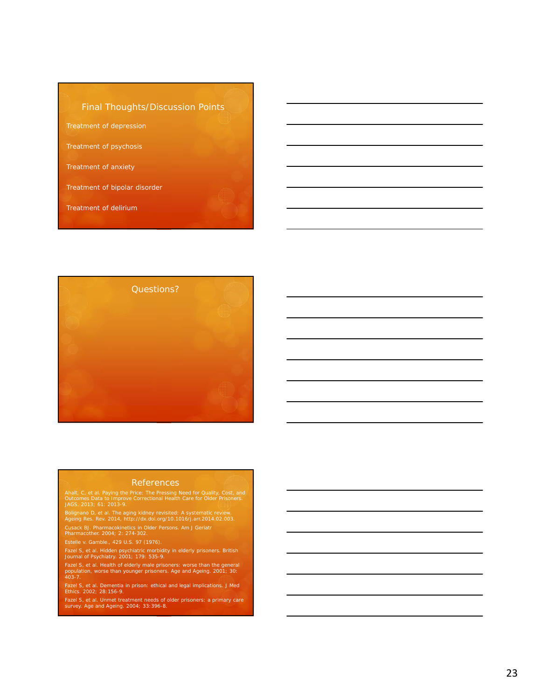### Final Thoughts/Discussion Points

Treatment of depression

Treatment of psychosis

Treatment of anxiety

Treatment of bipolar disorder

Treatment of delirium



### References

Ahalt, C, et al. Paying the Price: The Pressing Need for Quality, Cost, and Outcomes Data to Improve Correctional Health Care for Older Prisoners. JAGS. 2013; 61: 2013-9.

Bolignano D, et al. The aging kidney revisited: A systematic review. Ageing Res. Rev. 2014, http://dx.doi.org/10.1016/j.arr.2014.02.003.

Cusack BJ. Pharmacokinetics in Older Persons. Am J Geriatr Pharmacother. 2004; 2: 274-302.

Fazel S, et al. Hidden psychiatric morbidity in elderly prisoners. British Journal of Psychiatry. 2001; 179: 535-9.

Fazel S, et al. Health of elderly male prisoners: worse than the general population, worse than younger prisoners. Age and Ageing. 2001; 30: 403-7.

Fazel S, et al. Dementia in prison: ethical and legal implications. J Med Ethics. 2002; 28:156-9.

Fazel S, et al. Unmet treatment needs of older prisoners: a primary care survey. Age and Ageing. 2004; 33:396-8.